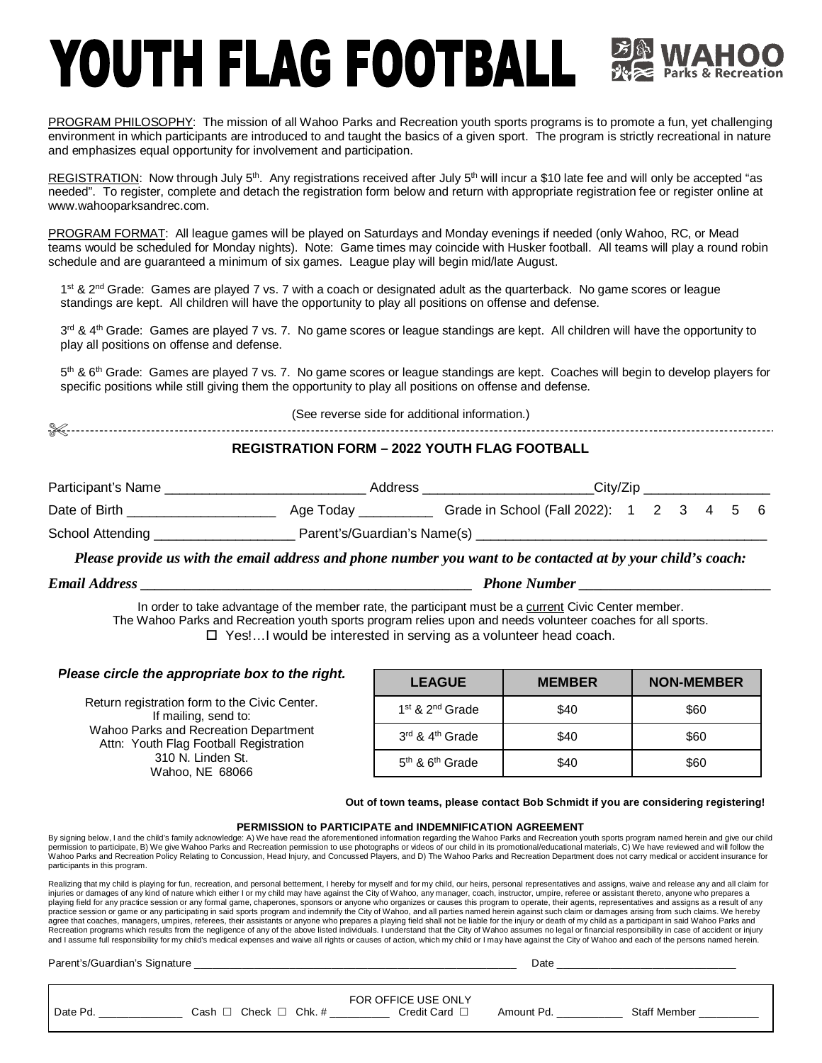## YOUTH FLAG FOOTBALL

PROGRAM PHILOSOPHY: The mission of all Wahoo Parks and Recreation youth sports programs is to promote a fun, yet challenging environment in which participants are introduced to and taught the basics of a given sport. The program is strictly recreational in nature and emphasizes equal opportunity for involvement and participation.

REGISTRATION: Now through July 5<sup>th</sup>. Any registrations received after July 5<sup>th</sup> will incur a \$10 late fee and will only be accepted "as needed". To register, complete and detach the registration form below and return with appropriate registration fee or register online at [www.wahooparksandrec.com.](http://www.wahooparksandrec.com.)

PROGRAM FORMAT: All league games will be played on Saturdays and Monday evenings if needed (only Wahoo, RC, or Mead teams would be scheduled for Monday nights). Note: Game times may coincide with Husker football. All teams will play a round robin schedule and are guaranteed a minimum of six games. League play will begin mid/late August.

1<sup>st</sup> & 2<sup>nd</sup> Grade: Games are played 7 vs. 7 with a coach or designated adult as the quarterback. No game scores or league standings are kept. All children will have the opportunity to play all positions on offense and defense.

3<sup>rd</sup> & 4<sup>th</sup> Grade: Games are played 7 vs. 7. No game scores or league standings are kept. All children will have the opportunity to play all positions on offense and defense.

5<sup>th</sup> & 6<sup>th</sup> Grade: Games are played 7 vs. 7. No game scores or league standings are kept. Coaches will begin to develop players for specific positions while still giving them the opportunity to play all positions on offense and defense.

(See reverse side for additional information.)

## **REGISTRATION FORM – 2022 YOUTH FLAG FOOTBALL**

| Participant's Name | Address                     |                                          | City/Zip |  |  |  |  |  |
|--------------------|-----------------------------|------------------------------------------|----------|--|--|--|--|--|
| Date of Birth      | Age Today                   | Grade in School (Fall 2022): 1 2 3 4 5 6 |          |  |  |  |  |  |
| School Attending   | Parent's/Guardian's Name(s) |                                          |          |  |  |  |  |  |

*Please provide us with the email address and phone number you want to be contacted at by your child's coach:*

*Email Address \_\_\_\_\_\_\_\_\_\_\_\_\_\_\_\_\_\_\_\_\_\_\_\_\_\_\_\_\_\_\_\_\_\_\_\_\_\_\_\_\_\_\_\_\_ Phone Number \_\_\_\_\_\_\_\_\_\_\_\_\_\_\_\_\_\_\_\_\_\_\_\_\_\_*

In order to take advantage of the member rate, the participant must be a current Civic Center member. The Wahoo Parks and Recreation youth sports program relies upon and needs volunteer coaches for all sports. □ Yes!...I would be interested in serving as a volunteer head coach.

| Please circle the appropriate box to the right.                                 | <b>LEAGUE</b>               | <b>MEMBER</b> | <b>NON-MEMBER</b> |
|---------------------------------------------------------------------------------|-----------------------------|---------------|-------------------|
| Return registration form to the Civic Center.<br>If mailing, send to:           | $1st$ & $2nd$ Grade         | \$40          | \$60              |
| Wahoo Parks and Recreation Department<br>Attn: Youth Flag Football Registration | 3rd & 4 <sup>th</sup> Grade | \$40          | \$60              |
| 310 N. Linden St.<br>Wahoo, NE 68066                                            | $5th$ & $6th$ Grade         | \$40          | \$60              |

**Out of town teams, please contact Bob Schmidt if you are considering registering!**

## **PERMISSION to PARTICIPATE and INDEMNIFICATION AGREEMENT**

By signing below, I and the child's family acknowledge: A) We have read the aforementioned information regarding the Wahoo Parks and Recreation youth sports program named herein and give our child<br>permission to participate participants in this program.

Realizing that my child is playing for fun, recreation, and personal betterment, I hereby for myself and for my child, our heirs, personal representatives and assigns, waive and release any and all claim for injuries or damages of any kind of nature which either I or my child may have against the City of Wahoo, any manager, coach, instructor, umpire, referee or assistant thereto, anyone who prepares a playing field for any practice session or any formal game, chaperones, sponsors or anyone who organizes or causes this program to operate, their agents, representatives and assigns as a result of any practice session or game or any participating in said sports program and indemnify the City of Wahoo, and all parties named herein against such claim or damages arising from such claims. We hereby<br>agree that coaches, manag Recreation programs which results from the negligence of any of the above listed individuals. I understand that the City of Wahoo assumes no legal or financial responsibility in case of accident or injury<br>and I assume full

Parent's/Guardian's Signature **Date and Security** and Security and Security and Security and Security and Security and Security and Security and Security and Security and Security and Security and Security and Security and

|          |      |                          | FOR OFFICE USE ONLY |            |              |  |
|----------|------|--------------------------|---------------------|------------|--------------|--|
| Date Pd. | Cash | Check $\Box$<br>$Chk.$ # | Credit Card         | Amount Pd. | Staff Member |  |